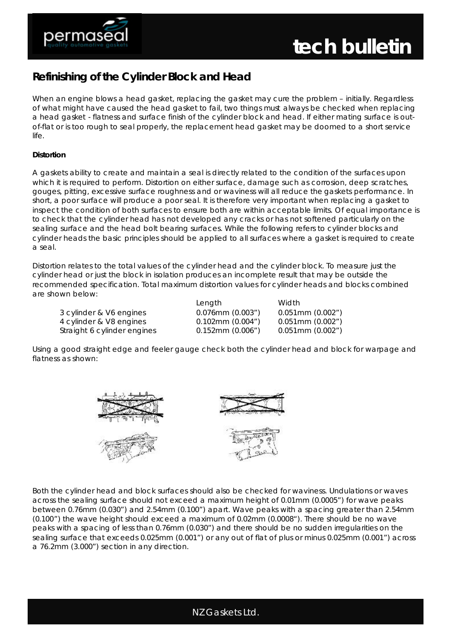

## **Refinishing of the Cylinder Block and Head**

When an engine blows a head gasket, replacing the gasket may cure the problem – initially. Regardless of what might have caused the head gasket to fail, two things must always be checked when replacing a head gasket - flatness and surface finish of the cylinder block and head. If either mating surface is outof-flat or is too rough to seal properly, the replacement head gasket may be doomed to a short service life.

## **Distortion**

A gaskets ability to create and maintain a seal is directly related to the condition of the surfaces upon which it is required to perform. Distortion on either surface, damage such as corrosion, deep scratches, gouges, pitting, excessive surface roughness and or waviness will all reduce the gaskets performance. In short, a poor surface will produce a poor seal. It is therefore very important when replacing a gasket to inspect the condition of both surfaces to ensure both are within acceptable limits. Of equal importance is to check that the cylinder head has not developed any cracks or has not softened particularly on the sealing surface and the head bolt bearing surfaces. While the following refers to cylinder blocks and cylinder heads the basic principles should be applied to all surfaces where a gasket is required to create a seal.

Distortion relates to the total values of the cylinder head and the cylinder block. To measure just the cylinder head or just the block in isolation produces an incomplete result that may be outside the recommended specification. Total maximum distortion values for cylinder heads and blocks combined are shown below:

|                             | Length                     | Width.                |
|-----------------------------|----------------------------|-----------------------|
| 3 cylinder & V6 engines     | $0.076$ mm $(0.003")$      | $0.051$ mm $(0.002")$ |
| 4 cylinder & V8 engines     | $0.102 \text{mm}$ (0.004") | $0.051$ mm $(0.002")$ |
| Straight 6 cylinder engines | $0.152$ mm $(0.006")$      | 0.051mm (0.002")      |

Using a good straight edge and feeler gauge check both the cylinder head and block for warpage and flatness as shown:



Both the cylinder head and block surfaces should also be checked for waviness. Undulations or waves across the sealing surface should not exceed a maximum height of 0.01mm (0.0005") for wave peaks between 0.76mm (0.030") and 2.54mm (0.100") apart. Wave peaks with a spacing greater than 2.54mm (0.100") the wave height should exceed a maximum of 0.02mm (0.0008"). There should be no wave peaks with a spacing of less than 0.76mm (0.030") and there should be no sudden irregularities on the sealing surface that exceeds 0.025mm (0.001") or any out of flat of plus or minus 0.025mm (0.001") across a 76.2mm (3.000") section in any direction.